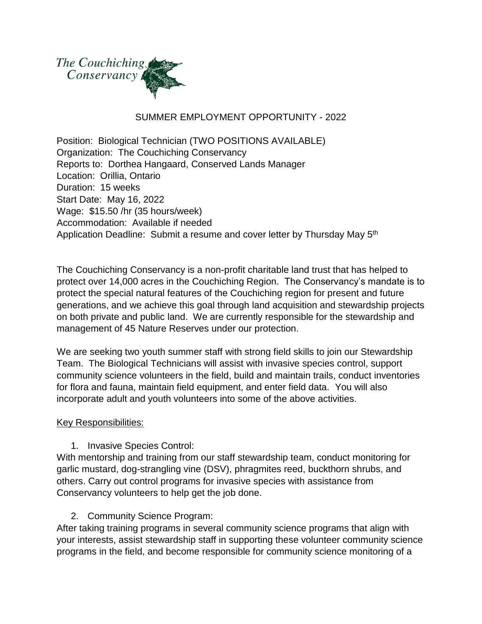

#### SUMMER EMPLOYMENT OPPORTUNITY - 2022

Position: Biological Technician (TWO POSITIONS AVAILABLE) Organization: The Couchiching Conservancy Reports to: Dorthea Hangaard, Conserved Lands Manager Location: Orillia, Ontario Duration: 15 weeks Start Date: May 16, 2022 Wage: \$15.50 /hr (35 hours/week) Accommodation: Available if needed Application Deadline: Submit a resume and cover letter by Thursday May 5<sup>th</sup>

The Couchiching Conservancy is a non-profit charitable land trust that has helped to protect over 14,000 acres in the Couchiching Region. The Conservancy's mandate is to protect the special natural features of the Couchiching region for present and future generations, and we achieve this goal through land acquisition and stewardship projects on both private and public land. We are currently responsible for the stewardship and management of 45 Nature Reserves under our protection.

We are seeking two youth summer staff with strong field skills to join our Stewardship Team. The Biological Technicians will assist with invasive species control, support community science volunteers in the field, build and maintain trails, conduct inventories for flora and fauna, maintain field equipment, and enter field data. You will also incorporate adult and youth volunteers into some of the above activities.

#### Key Responsibilities:

1. Invasive Species Control:

With mentorship and training from our staff stewardship team, conduct monitoring for garlic mustard, dog-strangling vine (DSV), phragmites reed, buckthorn shrubs, and others. Carry out control programs for invasive species with assistance from Conservancy volunteers to help get the job done.

2. Community Science Program:

After taking training programs in several community science programs that align with your interests, assist stewardship staff in supporting these volunteer community science programs in the field, and become responsible for community science monitoring of a